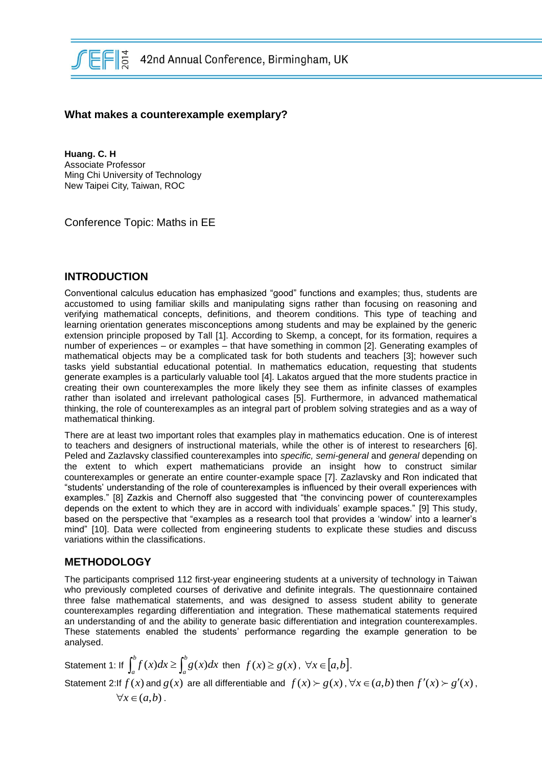

#### **What makes a counterexample exemplary?**

**Huang. C. H** Associate Professor Ming Chi University of Technology New Taipei City, Taiwan, ROC

Conference Topic: Maths in EE

# **INTRODUCTION**

Conventional calculus education has emphasized "good" functions and examples; thus, students are accustomed to using familiar skills and manipulating signs rather than focusing on reasoning and verifying mathematical concepts, definitions, and theorem conditions. This type of teaching and learning orientation generates misconceptions among students and may be explained by the generic extension principle proposed by Tall [1]. According to Skemp, a concept, for its formation, requires a number of experiences – or examples – that have something in common [2]. Generating examples of mathematical objects may be a complicated task for both students and teachers [3]; however such tasks yield substantial educational potential. In mathematics education, requesting that students generate examples is a particularly valuable tool [4]. Lakatos argued that the more students practice in creating their own counterexamples the more likely they see them as infinite classes of examples rather than isolated and irrelevant pathological cases [5]. Furthermore, in advanced mathematical thinking, the role of counterexamples as an integral part of problem solving strategies and as a way of mathematical thinking.

There are at least two important roles that examples play in mathematics education. One is of interest to teachers and designers of instructional materials, while the other is of interest to researchers [6]. Peled and Zazlavsky classified counterexamples into *specific, semi-general* and *general* depending on the extent to which expert mathematicians provide an insight how to construct similar counterexamples or generate an entire counter-example space [7]. Zazlavsky and Ron indicated that "students' understanding of the role of counterexamples is influenced by their overall experiences with examples." [8] Zazkis and Chernoff also suggested that "the convincing power of counterexamples depends on the extent to which they are in accord with individuals' example spaces." [9] This study, based on the perspective that "examples as a research tool that provides a 'window' into a learner's mind" [10]. Data were collected from engineering students to explicate these studies and discuss variations within the classifications.

# **METHODOLOGY**

The participants comprised 112 first-year engineering students at a university of technology in Taiwan who previously completed courses of derivative and definite integrals. The questionnaire contained three false mathematical statements, and was designed to assess student ability to generate counterexamples regarding differentiation and integration. These mathematical statements required an understanding of and the ability to generate basic differentiation and integration counterexamples. These statements enabled the students' performance regarding the example generation to be analysed.

Statement 1: If  $\int_a^b f(x)dx \ge \int_a^b$ *a b*  $f(x)dx \ge \int_a^b g(x)dx$  then  $f(x) \ge g(x)$ ,  $\forall x \in [a,b]$ . Statement 2: If  $f(x)$  and  $g(x)$  are all differentiable and  $f(x) > g(x)$ ,  $\forall x \in (a,b)$  then  $f'(x) > g'(x)$ ,  $\forall x \in (a,b)$ .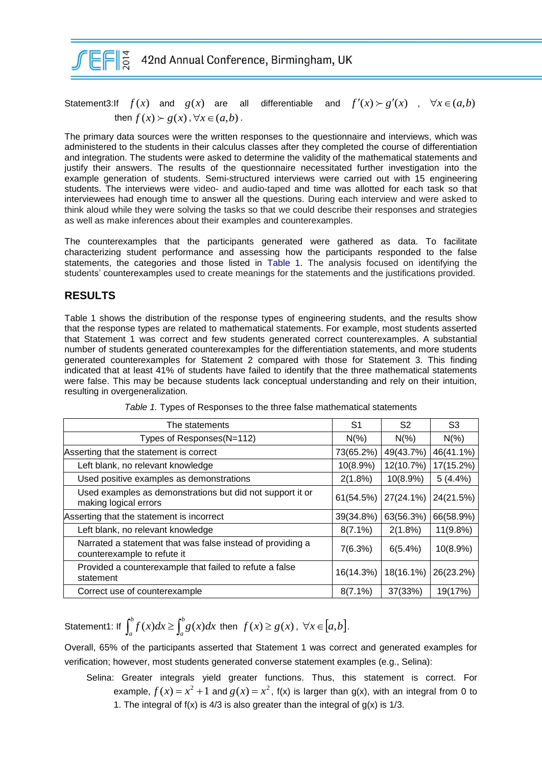

Statement3:If  $f(x)$  and  $g(x)$  are all differentiable and  $f'(x) \succ g'(x)$ ,  $\forall x \in (a,b)$ then  $f(x) > g(x)$ ,  $\forall x \in (a,b)$ .

The primary data sources were the written responses to the questionnaire and interviews, which was administered to the students in their calculus classes after they completed the course of differentiation and integration. The students were asked to determine the validity of the mathematical statements and justify their answers. The results of the questionnaire necessitated further investigation into the example generation of students. Semi-structured interviews were carried out with 15 engineering students. The interviews were video- and audio-taped and time was allotted for each task so that interviewees had enough time to answer all the questions. During each interview and were asked to think aloud while they were solving the tasks so that we could describe their responses and strategies as well as make inferences about their examples and counterexamples.

The counterexamples that the participants generated were gathered as data. To facilitate characterizing student performance and assessing how the participants responded to the false statements, the categories and those listed in Table 1. The analysis focused on identifying the students' counterexamples used to create meanings for the statements and the justifications provided.

# **RESULTS**

Table 1 shows the distribution of the response types of engineering students, and the results show that the response types are related to mathematical statements. For example, most students asserted that Statement 1 was correct and few students generated correct counterexamples. A substantial number of students generated counterexamples for the differentiation statements, and more students generated counterexamples for Statement 2 compared with those for Statement 3. This finding indicated that at least 41% of students have failed to identify that the three mathematical statements were false. This may be because students lack conceptual understanding and rely on their intuition, resulting in overgeneralization.

| The statements                                                                            | S1         | S2        | S3        |  |
|-------------------------------------------------------------------------------------------|------------|-----------|-----------|--|
| Types of Responses(N=112)                                                                 | $N(\%)$    | $N(\%)$   | $N(\%)$   |  |
| Asserting that the statement is correct                                                   | 73(65.2%)  | 49(43.7%) | 46(41.1%) |  |
| Left blank, no relevant knowledge                                                         | 10(8.9%)   | 12(10.7%) | 17(15.2%) |  |
| Used positive examples as demonstrations                                                  | 2(1.8%)    | 10(8.9%)  | 5(4.4%)   |  |
| Used examples as demonstrations but did not support it or<br>making logical errors        | 61(54.5%)  | 27(24.1%) | 24(21.5%) |  |
| Asserting that the statement is incorrect                                                 | 39(34.8%)  | 63(56.3%) | 66(58.9%) |  |
| Left blank, no relevant knowledge                                                         | $8(7.1\%)$ | 2(1.8%)   | 11(9.8%)  |  |
| Narrated a statement that was false instead of providing a<br>counterexample to refute it | 7(6.3%)    | 6(5.4%)   | 10(8.9%)  |  |
| Provided a counterexample that failed to refute a false<br>statement                      | 16(14.3%)  | 18(16.1%) | 26(23.2%) |  |
| Correct use of counterexample                                                             | $8(7.1\%)$ | 37(33%)   | 19(17%)   |  |

| Table 1. Types of Responses to the three false mathematical statements |  |  |  |  |  |  |  |  |  |  |  |  |
|------------------------------------------------------------------------|--|--|--|--|--|--|--|--|--|--|--|--|
|------------------------------------------------------------------------|--|--|--|--|--|--|--|--|--|--|--|--|

Statement1: If  $\int_a^b f(x)dx \ge \int_a^b$ *a b*  $f(x)dx \ge \int_a^b g(x)dx$  then  $f(x) \ge g(x)$ ,  $\forall x \in [a,b]$ .

Overall, 65% of the participants asserted that Statement 1 was correct and generated examples for verification; however, most students generated converse statement examples (e.g., Selina):

Selina: Greater integrals yield greater functions. Thus, this statement is correct. For example,  $f(x) = x^2 + 1$  and  $g(x) = x^2$ ,  $f(x)$  is larger than  $g(x)$ , with an integral from 0 to 1. The integral of  $f(x)$  is  $4/3$  is also greater than the integral of  $g(x)$  is  $1/3$ .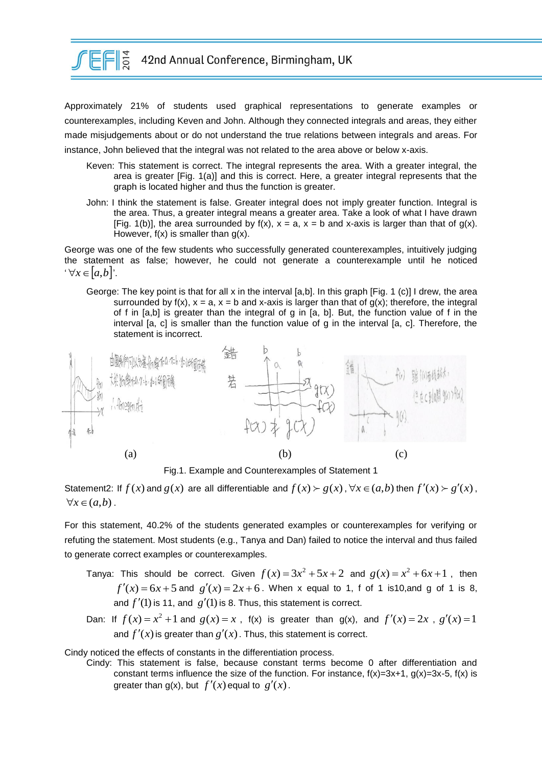

Approximately 21% of students used graphical representations to generate examples or counterexamples, including Keven and John. Although they connected integrals and areas, they either made misjudgements about or do not understand the true relations between integrals and areas. For instance, John believed that the integral was not related to the area above or below x-axis.

- Keven: This statement is correct. The integral represents the area. With a greater integral, the area is greater [Fig. 1(a)] and this is correct. Here, a greater integral represents that the graph is located higher and thus the function is greater.
- John: I think the statement is false. Greater integral does not imply greater function. Integral is the area. Thus, a greater integral means a greater area. Take a look of what I have drawn [Fig. 1(b)], the area surrounded by  $f(x)$ ,  $x = a$ ,  $x = b$  and x-axis is larger than that of  $g(x)$ . However,  $f(x)$  is smaller than  $g(x)$ .

George was one of the few students who successfully generated counterexamples, intuitively judging the statement as false; however, he could not generate a counterexample until he noticed  $\forall x \in [a,b]'.$ 

George: The key point is that for all x in the interval [a,b]. In this graph [Fig. 1 (c)] I drew, the area surrounded by  $f(x)$ ,  $x = a$ ,  $x = b$  and x-axis is larger than that of  $g(x)$ ; therefore, the integral of f in [a,b] is greater than the integral of g in [a, b]. But, the function value of f in the interval [a, c] is smaller than the function value of g in the interval [a, c]. Therefore, the statement is incorrect.



Fig.1. Example and Counterexamples of Statement 1

Statement2: If  $f(x)$  and  $g(x)$  are all differentiable and  $f(x) > g(x)$ ,  $\forall x \in (a,b)$  then  $f'(x) > g'(x)$ ,  $\forall x \in (a,b)$ .

For this statement, 40.2% of the students generated examples or counterexamples for verifying or refuting the statement. Most students (e.g., Tanya and Dan) failed to notice the interval and thus failed to generate correct examples or counterexamples.

- Tanya: This should be correct. Given  $f(x) = 3x^2 + 5x + 2$  and  $g(x) = x^2 + 6x + 1$ , then  $f'(x) = 6x + 5$  and  $g'(x) = 2x + 6$ . When x equal to 1, f of 1 is10,and g of 1 is 8, and  $f'(1)$  is 11, and  $g'(1)$  is 8. Thus, this statement is correct.
- Dan: If  $f(x) = x^2 + 1$  and  $g(x) = x$ ,  $f(x)$  is greater than  $g(x)$ , and  $f'(x) = 2x$ ,  $g'(x) = 1$ and  $f'(x)$  is greater than  $g'(x)$ . Thus, this statement is correct.

Cindy noticed the effects of constants in the differentiation process.

Cindy: This statement is false, because constant terms become 0 after differentiation and constant terms influence the size of the function. For instance,  $f(x)=3x+1$ ,  $g(x)=3x-5$ ,  $f(x)$  is greater than  $g(x)$ , but  $f'(x)$  equal to  $g'(x)$ .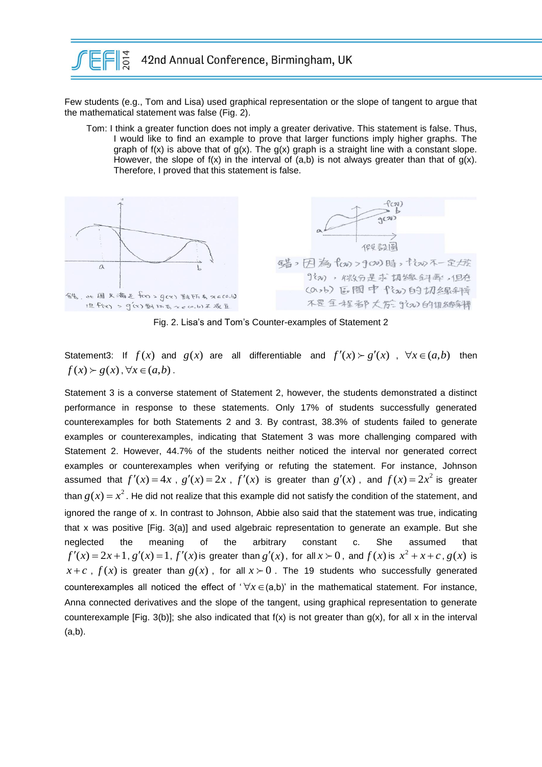

Few students (e.g., Tom and Lisa) used graphical representation or the slope of tangent to argue that the mathematical statement was false (Fig. 2).

Tom: I think a greater function does not imply a greater derivative. This statement is false. Thus, I would like to find an example to prove that larger functions imply higher graphs. The graph of  $f(x)$  is above that of  $g(x)$ . The  $g(x)$  graph is a straight line with a constant slope. However, the slope of  $f(x)$  in the interval of  $(a,b)$  is not always greater than that of  $g(x)$ . Therefore, I proved that this statement is false.



Fig. 2. Lisa's and Tom's Counter-examples of Statement 2

Statement3: If  $f(x)$  and  $g(x)$  are all differentiable and  $f'(x) > g'(x)$ ,  $\forall x \in (a,b)$  then  $f(x) \succ g(x)$ ,  $\forall x \in (a,b)$ .

Statement 3 is a converse statement of Statement 2, however, the students demonstrated a distinct performance in response to these statements. Only 17% of students successfully generated counterexamples for both Statements 2 and 3. By contrast, 38.3% of students failed to generate examples or counterexamples, indicating that Statement 3 was more challenging compared with Statement 2. However, 44.7% of the students neither noticed the interval nor generated correct examples or counterexamples when verifying or refuting the statement. For instance, Johnson assumed that  $f'(x) = 4x$ ,  $g'(x) = 2x$ ,  $f'(x)$  is greater than  $g'(x)$ , and  $f(x) = 2x^2$  is greater than  $g(x) = x^2$ . He did not realize that this example did not satisfy the condition of the statement, and ignored the range of x. In contrast to Johnson, Abbie also said that the statement was true, indicating that x was positive [Fig. 3(a)] and used algebraic representation to generate an example. But she neglected the meaning of the arbitrary constant c. She assumed that  $f'(x) = 2x + 1$ ,  $g'(x) = 1$ ,  $f'(x)$  is greater than  $g'(x)$ , for all  $x > 0$ , and  $f(x)$  is  $x^2 + x + c$ ,  $g(x)$  is  $x + c$ ,  $f(x)$  is greater than  $g(x)$ , for all  $x \succ 0$ . The 19 students who successfully generated counterexamples all noticed the effect of  $\forall x \in (a,b)$  in the mathematical statement. For instance, Anna connected derivatives and the slope of the tangent, using graphical representation to generate counterexample [Fig. 3(b)]; she also indicated that  $f(x)$  is not greater than  $g(x)$ , for all x in the interval (a,b).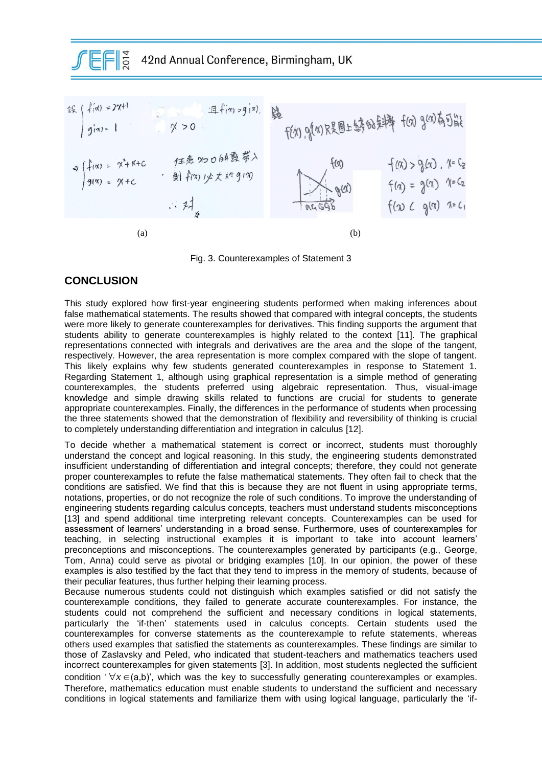

Fig. 3. Counterexamples of Statement 3

#### **CONCLUSION**

This study explored how first-year engineering students performed when making inferences about false mathematical statements. The results showed that compared with integral concepts, the students were more likely to generate counterexamples for derivatives. This finding supports the argument that students ability to generate counterexamples is highly related to the context [11]. The graphical representations connected with integrals and derivatives are the area and the slope of the tangent, respectively. However, the area representation is more complex compared with the slope of tangent. This likely explains why few students generated counterexamples in response to Statement 1. Regarding Statement 1, although using graphical representation is a simple method of generating counterexamples, the students preferred using algebraic representation. Thus, visual-image knowledge and simple drawing skills related to functions are crucial for students to generate appropriate counterexamples. Finally, the differences in the performance of students when processing the three statements showed that the demonstration of flexibility and reversibility of thinking is crucial to completely understanding differentiation and integration in calculus [12].

To decide whether a mathematical statement is correct or incorrect, students must thoroughly understand the concept and logical reasoning. In this study, the engineering students demonstrated insufficient understanding of differentiation and integral concepts; therefore, they could not generate proper counterexamples to refute the false mathematical statements. They often fail to check that the conditions are satisfied. We find that this is because they are not fluent in using appropriate terms, notations, properties, or do not recognize the role of such conditions. To improve the understanding of engineering students regarding calculus concepts, teachers must understand students misconceptions [13] and spend additional time interpreting relevant concepts. Counterexamples can be used for assessment of learners' understanding in a broad sense. Furthermore, uses of counterexamples for teaching, in selecting instructional examples it is important to take into account learners' preconceptions and misconceptions. The counterexamples generated by participants (e.g., George, Tom, Anna) could serve as pivotal or bridging examples [10]. In our opinion, the power of these examples is also testified by the fact that they tend to impress in the memory of students, because of their peculiar features, thus further helping their learning process.

Because numerous students could not distinguish which examples satisfied or did not satisfy the counterexample conditions, they failed to generate accurate counterexamples. For instance, the students could not comprehend the sufficient and necessary conditions in logical statements, particularly the 'if-then' statements used in calculus concepts. Certain students used the counterexamples for converse statements as the counterexample to refute statements, whereas others used examples that satisfied the statements as counterexamples. These findings are similar to those of Zaslavsky and Peled, who indicated that student-teachers and mathematics teachers used incorrect counterexamples for given statements [3]. In addition, most students neglected the sufficient condition  $\forall x \in (a,b)$ ', which was the key to successfully generating counterexamples or examples. Therefore, mathematics education must enable students to understand the sufficient and necessary conditions in logical statements and familiarize them with using logical language, particularly the 'if-